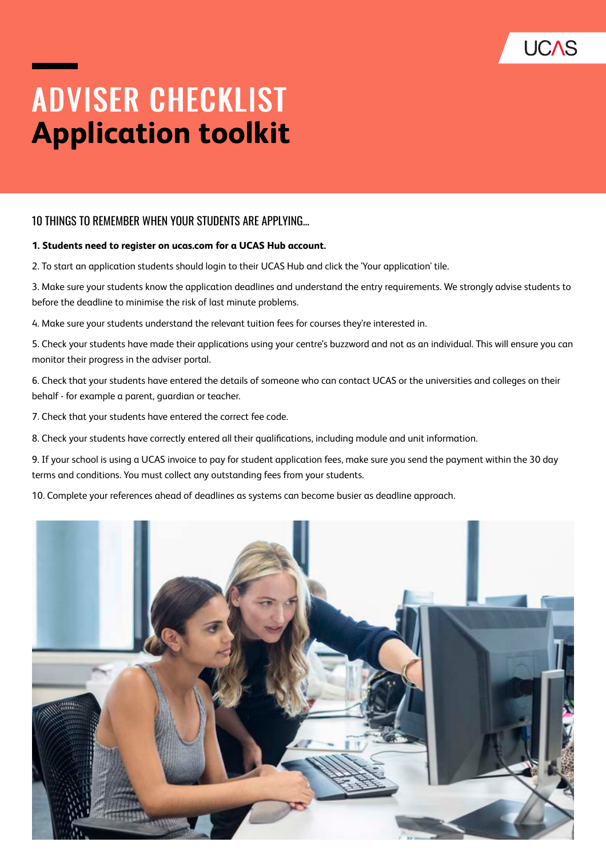

# **ADVISER CHECKLIST Application toolkit**

### 10 THINGS TO REMEMBER WHEN YOUR STUDENTS ARE APPLYING...

#### **1. Students need to register on ucas.com for a UCAS Hub account.**

2. To start an application students should login to their UCAS Hub and click the 'Your application' tile.

3. Make sure your students know the application deadlines and understand the entry requirements. We strongly advise students to before the deadline to minimise the risk of last minute problems.

4. Make sure your students understand the relevant tuition fees for courses they're interested in.

5. Check your students have made their applications using your centre's buzzword and not as an individual. This will ensure you can monitor their progress in the adviser portal.

6. Check that your students have entered the details of someone who can contact UCAS or the universities and colleges on their behalf - for example a parent, guardian or teacher.

7. Check that your students have entered the correct fee code.

8. Check your students have correctly entered all their qualifications, including module and unit information.

9. If your school is using a UCAS invoice to pay for student application fees, make sure you send the payment within the 30 day terms and conditions. You must collect any outstanding fees from your students.

10. Complete your references ahead of deadlines as systems can become busier as deadline approach.